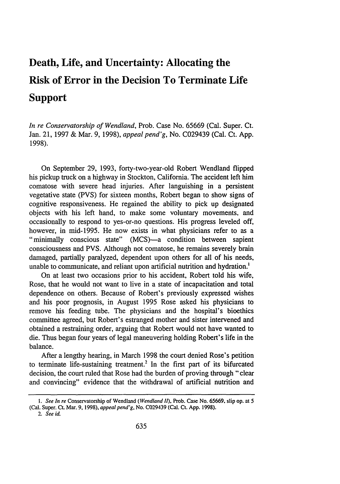## **Death, Life, and Uncertainty: Allocating the Risk of Error in the Decision To Terminate Life Support**

*In re Conservatorship of Wendland,* Prob. Case No. 65669 (Cal. Super. Ct. Jan. 21, 1997 & Mar. 9, 1998), *appeal pend'g,* No. C029439 (Cal. Ct. App. 1998).

On September 29, 1993, forty-two-year-old Robert Wendland flipped his pickup truck on a highway in Stockton, California. The accident left him comatose with severe head injuries. After languishing in a persistent vegetative state (PVS) for sixteen months, Robert began to show signs of cognitive responsiveness. He regained the ability to pick up designated objects with his left hand, to make some voluntary movements, and occasionally to respond to yes-or-no questions. His progress leveled off, however, in mid-1995. He now exists in what physicians refer to as a "minimally conscious state" (MCS)—a condition between sapient consciousness and PVS. Although not comatose, he remains severely brain damaged, partially paralyzed, dependent upon others for all of his needs, unable to communicate, and reliant upon artificial nutrition and hydration.'

On at least two occasions prior to his accident, Robert told his wife, Rose, that he would not want to live in a state of incapacitation and total dependence on others. Because of Robert's previously expressed wishes and his poor prognosis, in August 1995 Rose asked his physicians to remove his feeding tube. The physicians and the hospital's bioethics committee agreed, but Robert's estranged mother and sister intervened and obtained a restraining order, arguing that Robert would not have wanted to die. Thus began four years of legal maneuvering holding Robert's life in the balance.

After a lengthy hearing, in March 1998 the court denied Rose's petition to terminate life-sustaining treatment.<sup>2</sup> In the first part of its bifurcated decision, the court ruled that Rose had the burden of proving through "clear and convincing" evidence that the withdrawal of artificial nutrition and

**<sup>1.</sup>** *See In re* Conservatorship of Wendland (Wendland 1/). Prob. Case No. **65669.** slip op. at 5 (Cal. Super. Ct. Mar. **9,** 1998). *appeal* pend'g, No. C029439 (Cal. **Ct.** App. 1998).

*<sup>2</sup>* See iL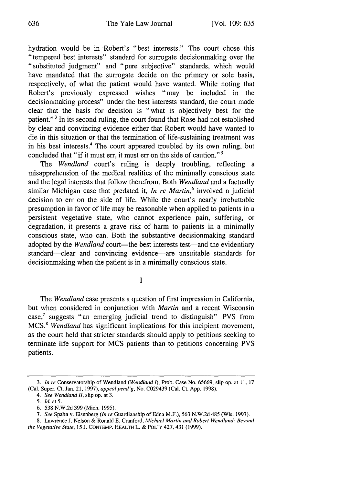hydration would be in Robert's "best interests." The court chose this "tempered best interests" standard for surrogate decisionmaking over the "substituted judgment" and "pure subjective" standards, which would have mandated that the surrogate decide on the primary or sole basis, respectively, of what the patient would have wanted. While noting that Robert's previously expressed wishes "may be included in the decisionmaking process" under the best interests standard, the court made clear that the basis for decision is "what is objectively best for the patient."3 In its second ruling, the court found that Rose had not established by clear and convincing evidence either that Robert would have wanted to die in this situation or that the termination of life-sustaining treatment was in his best interests.<sup>4</sup> The court appeared troubled by its own ruling, but concluded that "if it must err, it must err on the side of caution."<sup>5</sup>

The *Wendland* court's ruling is deeply troubling, reflecting a misapprehension of the medical realities of the minimally conscious state and the legal interests that follow therefrom. Both *Wendland* and a factually similar Michigan case that predated it, *In re Martin,6* involved a judicial decision to err on the side of life. While the court's nearly irrebuttable presumption in favor of life may be reasonable when applied to patients in a persistent vegetative state, who cannot experience pain, suffering, or degradation, it presents a grave risk of harm to patients in a minimally conscious state, who can. Both the substantive decisionmaking standard adopted by the *Wendland* court—the best interests test—and the evidentiary standard-clear and convincing evidence-are unsuitable standards for decisionmaking when the patient is in a minimally conscious state.

**I**

*The Wendland* case presents a question of first impression in California, but when considered in conjunction with *Martin* and a recent Wisconsin case,<sup>7</sup> suggests "an emerging judicial trend to distinguish" PVS from MCS. <sup>8</sup>*Wendland* has significant implications for this incipient movement, as the court held that stricter standards should apply to petitions seeking to terminate life support for MCS patients than to petitions concerning PVS patients.

*<sup>3.</sup> In re* Conservatorship of Wendland *(Wendland 1),* Prob. Case No. 65669, slip op. at **1I.** 17 (Cal. Super. Ct. Jan. 21, 1997), *appeal pend'g,* No. C029439 (Cal. Ct. App. 1998).

*<sup>4.</sup> See Wendland* H, slip op. at 3.

<sup>5.</sup> *Id.* at **5.**

<sup>6.</sup> **538** N.W.2d 399 (Mich. 1995).

*<sup>7.</sup> See* Spahn v. Eisenberg *(In re* Guardianship of Edna M.F.), **563** N.W.2d 485 (Wis. 1997).

<sup>8.</sup> Lawrence J. Nelson & Ronald E. Cranford, *Michael Martin and Robert Wendland: Beyond* the *Vegetative State,* 15 J. CONTEMP. HEALTH L. & POL'Y 427,431 (1999).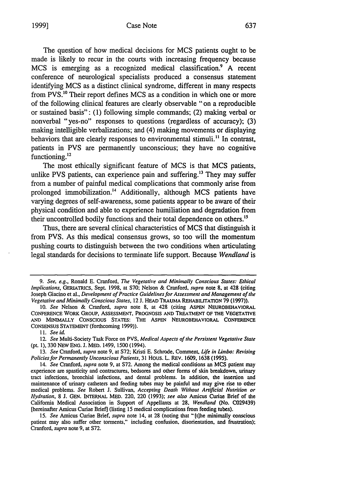The question of how medical decisions for MCS patients ought to be made is likely to recur in the courts with increasing frequency because MCS is emerging as a recognized medical classification.<sup>9</sup> A recent conference of neurological specialists produced a consensus statement identifying MCS as a distinct clinical syndrome, different in many respects from PVS.10 Their report defines MCS as a condition in which one or more of the following clinical features are clearly observable "on a reproducible or sustained basis": (1) following simple commands; (2) making verbal or nonverbal "yes-no" responses to questions (regardless of accuracy); (3) making intelligible verbalizations; and (4) making movements or displaying behaviors that are clearly responses to environmental stimuli.<sup>11</sup> In contrast, patients in PVS are permanently unconscious; they have no cognitive functioning.<sup>12</sup>

The most ethically significant feature of MCS is that MCS patients, unlike PVS patients, can experience pain and suffering.<sup>13</sup> They may suffer from a number of painful medical complications that commonly arise from prolonged immobilization.<sup>14</sup> Additionally, although MCS patients have varying degrees of self-awareness, some patients appear to be aware of their physical condition and able to experience humiliation and degradation from their uncontrolled bodily functions and their total dependence on others.<sup>15</sup>

Thus, there are several clinical characteristics of MCS that distinguish it from PVS. As this medical consensus grows, so too will the momentum pushing courts to distinguish between the two conditions when articulating legal standards for decisions to terminate life support. Because Wendland is

*<sup>9.</sup> See, e.g.,* Ronald E. Cranford, *The Vegetative and Minimally* Conscious States: *Ethical Implications,* GERIATRICS, Sept. 1998, at S70; Nelson & Cranford, *supra* note **8.** at 428 (citing Joseph Giacino et al., *Development of Practice Guidelines for Assessment and Management of the Vegetative and Minimally Conscious States,* 12 **J. HEAD** TRAUMA REHABILrrATION 79 (1997)).

<sup>10.</sup> *See* Nelson & Cranford, *supra* note **8,** at 428 (citing ASPEN NEUROBEHAVIORAL CONFERENCE WORK GROUP, ASSESSMENT, PROGNOSIS **AND** TREAmItENT **OF THE** VEGETATIvE AND MINIMALLY CONSCIOUS STATES: THE ASPEN NEUROBEHAVIORAL CONFERENCE CONSENSUS STATEMENT (forthcoming 1999)).

<sup>11.</sup> *See* id.

*<sup>12-</sup> See* Multi-Society Task Force on PVS, *Medical Aspects of the Persistent Vegetative State* (pt. 1), 330 NEW ENG. **J.** MED. 1499, 1500 (1994).

<sup>13.</sup> *See* Cranford, *supra* note 9, at S72; Kristi E. Schrode, Comment. *Life in Limbo: Revising Policiesfor Permanently Unconscious Patients,* 31 Hous. L. REV. 1609, 1638 (1995).

<sup>14.</sup> *See* Cranford, *supra* note 9, at 572. Among the medical conditions an **MCS** patient may experience are spasticity and contractures, bedsores and other forms of skin breakdown, urinary tract infections, bronchial infections, and dental problems. In addition, the insertion and maintenance of urinary catheters and feeding tubes may be painful and may give rise to other medical problems. *See* Robert **J.** Sullivan, *Accepting Death Without Artificial Nutrition or Hydration,* 8 J. GEN. INTERNAL MED. 220, 220 (1993): *see also* Amicus Curiae Brief of the California Medical Association in Support of Appellants at **28.** *Wendland* (No. C029439) [hereinafter Amicus Curiae Brief] (listing 15 medical complications from feeding tubes).

**<sup>15.</sup>** *See* Amicus Curiae Brief, *supra* note 14, at 28 (noting that "[tlhe minimally conscious patient may also suffer other torments," including confusion, disorientation, and frustration); Cranford, *supra* note 9, at S72.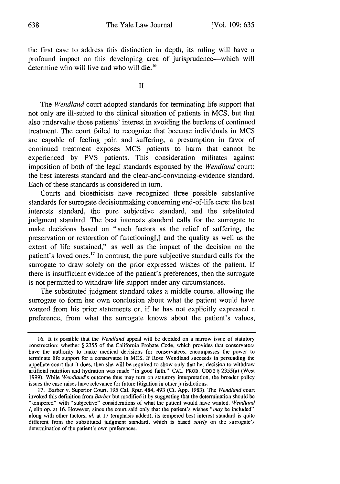the first case to address this distinction in depth, its ruling will have a profound impact on this developing area of jurisprudence-which will determine who will live and who will die. **<sup>16</sup>**

II

The *Wendland* court adopted standards for terminating life support that not only are ill-suited to the clinical situation of patients in MCS, but that also undervalue those patients' interest in avoiding the burdens of continued treatment. The court failed to recognize that because individuals in MCS are capable of feeling pain and suffering, a presumption in favor of continued treatment exposes MCS patients to harm that cannot be experienced by PVS patients. This consideration militates against imposition of both of the legal standards espoused by the *Wendland* court: the best interests standard and the clear-and-convincing-evidence standard. Each of these standards is considered in turn.

Courts and bioethicists have recognized three possible substantive standards for surrogate decisionmaking concerning end-of-life care: the best interests standard, the pure subjective standard, and the substituted judgment standard. The best interests standard calls for the surrogate to make decisions based on "such factors as the relief of suffering, the preservation or restoration of functioning[,] and the quality as well as the extent of life sustained," as well as the impact of the decision on the patient's loved ones.<sup>17</sup> In contrast, the pure subjective standard calls for the surrogate to draw solely on the prior expressed wishes of the patient. If there is insufficient evidence of the patient's preferences, then the surrogate is not permitted to withdraw life support under any circumstances.

The substituted judgment standard takes a middle course, allowing the surrogate to form her own conclusion about what the patient would have wanted from his prior statements or, if he has not explicitly expressed a preference, from what the surrogate knows about the patient's values,

<sup>16.</sup> It is possible that the *Wendland* appeal will be decided on a narrow issue of statutory construction: whether § 2355 of the California Probate Code, which provides that conservators have the authority to make medical decisions for conservatees, encompasses the power to terminate life support for a conservatee in MCS. If Rose Wendland succeeds in persuading the appellate court that it does, then she will be required to show only that her decision to withdraw artificial nutrition and hydration was made "in good faith." CAL. PROB. **CODE** § 2355(a) (West 1999). While *Wendland's* outcome thus may turn on statutory interpretation, the broader policy issues the case raises have relevance for future litigation in other jurisdictions.

<sup>17.</sup> Barber v. Superior Court, 195 Cal. Rptr. 484, 493 (Ct. App. 1983). The *Wendland* court invoked this definition from *Barber* but modified it by suggesting that the determination should be "tempered" with "subjective" considerations of what the patient would have wanted. *Wendland I,* slip op. at 16. However, since the court said only that the patient's wishes *"may* be included" along with other factors, *id.* at 17 (emphasis added), its tempered best interest standard is quite different from the substituted judgment standard, which is based *solely* on the surrogate's determination of the patient's own preferences.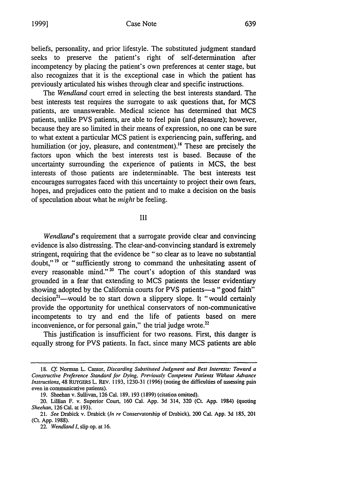## Case Note

beliefs, personality, and prior lifestyle. The substituted judgment standard seeks to preserve the patient's right of self-determination after incompetency by placing the patient's own preferences at center stage, but also recognizes that it is the exceptional case in which the patient has previously articulated his wishes through clear and specific instructions.

The *Wendland* court erred in selecting the best interests standard. The best interests test requires the surrogate to ask questions that, for MCS patients, are unanswerable. Medical science has determined that MCS patients, unlike PVS patients, are able to feel pain (and pleasure); however, because they are so limited in their means of expression, no one can be sure to what extent a particular MCS patient is experiencing pain, suffering, and humiliation (or joy, pleasure, and contentment).<sup>18</sup> These are precisely the factors upon which the best interests test is based. Because of the uncertainty surrounding the experience of patients in MCS, the best interests of those patients are indeterminable. The best interests test encourages surrogates faced with this uncertainty to project their own fears, hopes, and prejudices onto the patient and to make a decision on the basis of speculation about what he *might* be feeling.

**III**

*Wendland's* requirement that a surrogate provide clear and convincing evidence is also distressing. The clear-and-convincing standard is extremely stringent, requiring that the evidence be "so clear as to leave no substantial doubt,"<sup>19</sup> or "sufficiently strong to command the unhesitating assent of every reasonable mind."<sup>20</sup> The court's adoption of this standard was grounded in a fear that extending to MCS patients the lesser evidentiary showing adopted by the California courts for PVS patients-a "good faith"  $decision<sup>21</sup>$ -would be to start down a slippery slope. It "would certainly provide the opportunity for unethical conservators of non-communicative incompetents to try and end the life of patients based on mere inconvenience, or for personal gain," the trial judge wrote. $^{22}$ 

This justification is insufficient for two reasons. First, this danger is equally strong for PVS patients. In fact, since many MCS patients are able

**<sup>18.</sup>** *Cf.* Norman L. Cantor, Discarding *Substituted Judgment and Best Interests: Toward a Constructive Preference Standard for Dying, Previously Competent Patients Without Advance Instructions,* 48 RuTGERS L. REv. 1193, 1230-31 (1996) (noting the difficulties of assessing pain even in communicative patients).

<sup>19.</sup> Sheehan v. Sullivan, 126 Cal. 189, 193 (1899) (citation omitted).

<sup>20.</sup> Lillian F. v. Superior Court, 160 Cal. App. 3d 314, 320 (Ct. App. 1984) (quoting *Sheehan,* 126 Cal. at 193).

<sup>21.</sup> *See* Drabick v. Drabick *(In re* Conservatorship of Drabick), 200 Cal. App. 3d 185, 201 (Ct. App. 1988).

<sup>22.</sup> *Wendland I,* slip op. at 16.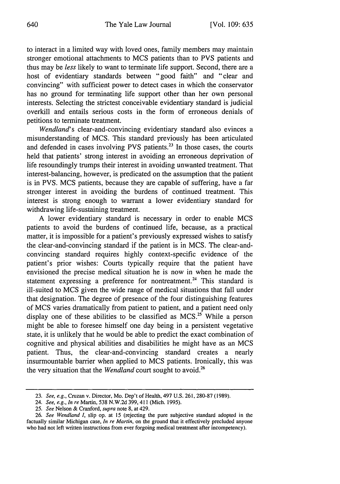to interact in a limited way with loved ones, family members may maintain stronger emotional attachments to MCS patients than to PVS patients and thus may be *less* likely to want to terminate life support. Second, there are a host of evidentiary standards between "good faith" and "clear and convincing" with sufficient power to detect cases in which the conservator has no ground for terminating life support other than her own personal interests. Selecting the strictest conceivable evidentiary standard is judicial overkill and entails serious costs in the form of erroneous denials of petitions to terminate treatment.

*Wendland's* clear-and-convincing evidentiary standard also evinces a misunderstanding of MCS. This standard previously has been articulated and defended in cases involving PVS patients. $^{23}$  In those cases, the courts held that patients' strong interest in avoiding an erroneous deprivation of life resoundingly trumps their interest in avoiding unwanted treatment. That interest-balancing, however, is predicated on the assumption that the patient is in PVS. MCS patients, because they are capable of suffering, have a far stronger interest in avoiding the burdens of continued treatment. This interest is strong enough to warrant a lower evidentiary standard for withdrawing life-sustaining treatment.

A lower evidentiary standard is necessary in order to enable MCS patients to avoid the burdens of continued life, because, as a practical matter, it is impossible for a patient's previously expressed wishes to satisfy the clear-and-convincing standard if the patient is in MCS. The clear-andconvincing standard requires highly context-specific evidence of the patient's prior wishes: Courts typically require that the patient have envisioned the precise medical situation he is now in when he made the statement expressing a preference for nontreatment.<sup>24</sup> This standard is ill-suited to MCS given the wide range of medical situations that fall under that designation. The degree of presence of the four distinguishing features of MCS varies dramatically from patient to patient, and a patient need only display one of these abilities to be classified as  $MCS$ .<sup>25</sup> While a person might be able to foresee himself one day being in a persistent vegetative state, it is unlikely that he would be able to predict the exact combination of cognitive and physical abilities and disabilities he might have as an MCS patient. Thus, the clear-and-convincing standard creates a nearly insurmountable barrier when applied to MCS patients. Ironically, this was the very situation that the *Wendland* court sought to avoid.26

<sup>23.</sup> *See, e.g.,* Cruzan v. Director, Mo. Dep't of Health, 497 U.S. 261, 280-87 (1989).

<sup>24.</sup> *See, e.g., In re* Martin, 538 N.W.2d 399,411 (Mich. 1995).

*<sup>25.</sup> See* Nelson & Cranford, *supra* note 8, at 429.

<sup>26.</sup> *See Wendland I,* slip op. at 15 (rejecting the pure subjective standard adopted in the factually similar Michigan case, *In re Martin,* on the ground that it effectively precluded anyone who had not left written instructions from ever forgoing medical treatment after incompetency).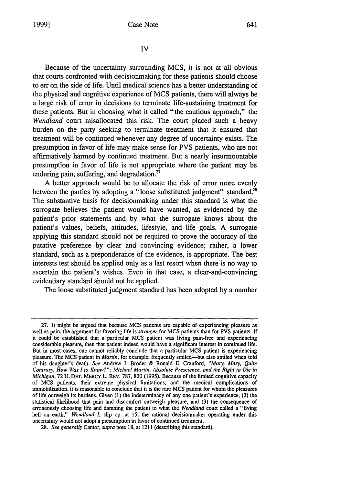IV

Because of the uncertainty surrounding MCS, it is not at all obvious that courts confronted with decisionmaking for these patients should choose to err on the side of life. Until medical science has a better understanding of the physical and cognitive experience of MCS patients, there will always be a large risk of error in decisions to terminate life-sustaining treatment for these patients. But in choosing what it called "the cautious approach," the *Wendland* court misallocated this risk. The court placed such a heavy burden on the party seeking to terminate treatment that it ensured that treatment will be continued whenever any degree of uncertainty exists. The presumption in favor of life may make sense for PVS patients, who are not affirmatively harmed by continued treatment. But a nearly insurmountable presumption in favor of life is not appropriate where the patient may be enduring pain, suffering, and degradation. $27$ 

A better approach would be to allocate the risk of error more evenly between the parties by adopting a "loose substituted judgment" standard.<sup>28</sup> The substantive basis for decisionmaking under this standard is what the surrogate believes the patient would have wanted, as evidenced by the patient's prior statements and by what the surrogate knows about the patient's values, beliefs, attitudes, lifestyle, and life goals. A surrogate applying this standard should not be required to prove the accuracy of the putative preference by clear and convincing evidence; rather, a lower standard, such as a preponderance of the evidence, is appropriate. The best interests test should be applied only as a last resort when there is no way to ascertain the patient's wishes. Even in that case, a clear-and-convincing evidentiary standard should not be applied.

The loose substituted judgment standard has been adopted by a number

<sup>27.</sup> It might be argued that because MCS patients are capable of experiencing pleasure as well as pain, the argument for favoring life is *stronger* for MCS patients than for PVS patients. If it could be established that a particular MCS patient was living pain-free and experiencing considerable pleasure, then that patient indeed would have a significant interest in continued life. But in most cases, one cannot reliably conclude that a particular MCS patient is experiencing pleasure. The MCS patient in *Martin,* for example, frequently smiled-but also smiled when told of his daughter's death. *See* Andrew J. Broder & Ronald E. Cranford. *"Afar); Mary, Quite Contrary, How Was I to Know?": Michael Martin, Absolute Prescience. and the Right to Die in Michigan,* 72 U. DEr. **MERCY** L. REV. 787, 820 (1995). Because of the limited cognitive capacity of MCS patients, their extreme physical limitations, and the medical complications of immobilization, it is reasonable to conclude that it is the rare MCS patient for whom the pleasures of life outweigh its burdens. Given (I) the indeterminacy of any one patient's experience. (2) the statistical likelihood that pain and discomfort outweigh pleasure, and **(3)** the consequence of erroneously choosing life and damning the patient to what the *Wendland* court called a "living hell on earth," *Wendland I*, slip op. at 15, the rational decisionmaker operating under this uncertainty would not adopt a presumption in favor of continued treatment.

<sup>28.</sup> *See generally* Cantor, *supra* note 18, at 1211 (describing this standard).